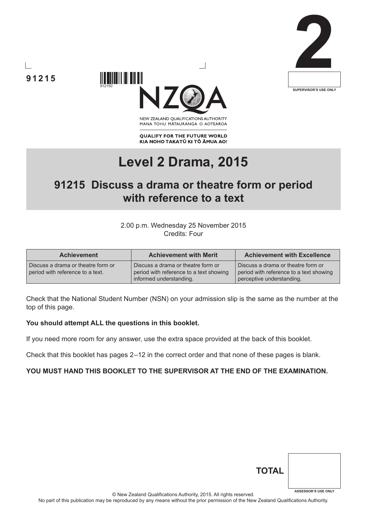





NEW ZEALAND OUALIFICATIONS AUTHORITY MANA TOHU MATAURANGA O AOTEAROA

**QUALIFY FOR THE FUTURE WORLD** KIA NOHO TAKATŪ KI TŌ ĀMUA AO!

# **Level 2 Drama, 2015**

# **91215 Discuss a drama or theatre form or period with reference to a text**

#### 2.00 p.m. Wednesday 25 November 2015 Credits: Four

| <b>Achievement</b>                                                     | <b>Achievement with Merit</b>                                                                            | <b>Achievement with Excellence</b>                                                                         |
|------------------------------------------------------------------------|----------------------------------------------------------------------------------------------------------|------------------------------------------------------------------------------------------------------------|
| Discuss a drama or theatre form or<br>period with reference to a text. | Discuss a drama or theatre form or<br>period with reference to a text showing<br>informed understanding. | Discuss a drama or theatre form or<br>period with reference to a text showing<br>perceptive understanding. |

Check that the National Student Number (NSN) on your admission slip is the same as the number at the top of this page.

#### **You should attempt ALL the questions in this booklet.**

If you need more room for any answer, use the extra space provided at the back of this booklet.

Check that this booklet has pages 2 –12 in the correct order and that none of these pages is blank.

#### **YOU MUST HAND THIS BOOKLET TO THE SUPERVISOR AT THE END OF THE EXAMINATION.**

| <b>TOTAL</b> |                            |
|--------------|----------------------------|
|              | <b>ASSESSOR'S USE ONLY</b> |

© New Zealand Qualifications Authority, 2015. All rights reserved.

No part of this publication may be reproduced by any means without the prior permission of the New Zealand Qualifications Authority.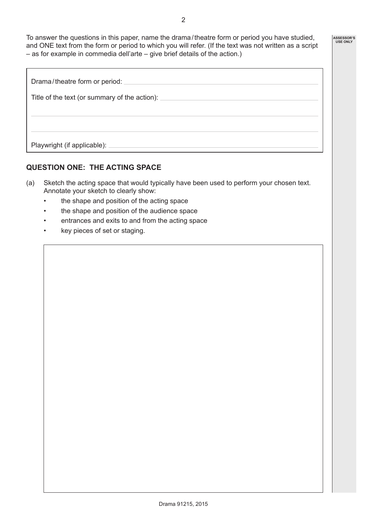To answer the questions in this paper, name the drama / theatre form or period you have studied, and ONE text from the form or period to which you will refer. (If the text was not written as a script – as for example in commedia dell'arte – give brief details of the action.)

| Drama/theatre form or period:                 |
|-----------------------------------------------|
| Title of the text (or summary of the action): |
|                                               |
|                                               |
| Playwright (if applicable):                   |

## **QUESTION ONE: THE ACTING SPACE**

- (a) Sketch the acting space that would typically have been used to perform your chosen text. Annotate your sketch to clearly show:
	- the shape and position of the acting space
	- the shape and position of the audience space
	- entrances and exits to and from the acting space
	- key pieces of set or staging.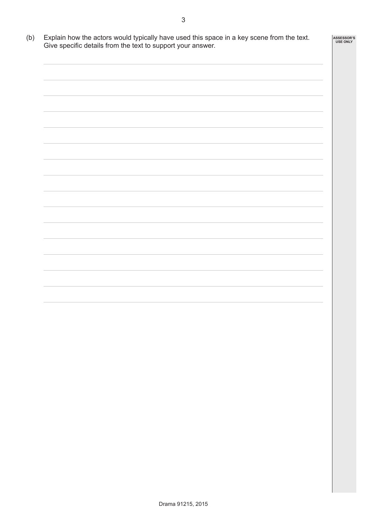(b) Explain how the actors would typically have used this space in a key scene from the text. Give specific details from the text to support your answer. **ASSESSOR'S USE ONLY**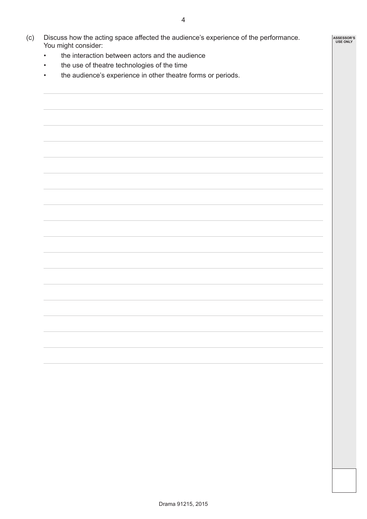- (c) Discuss how the acting space affected the audience's experience of the performance. You might consider:
	- the interaction between actors and the audience
	- the use of theatre technologies of the time
	- the audience's experience in other theatre forms or periods.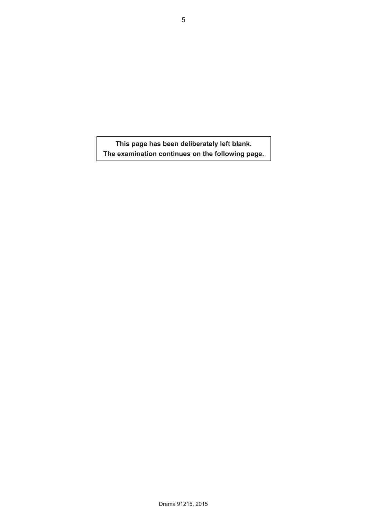**This page has been deliberately left blank. The examination continues on the following page.**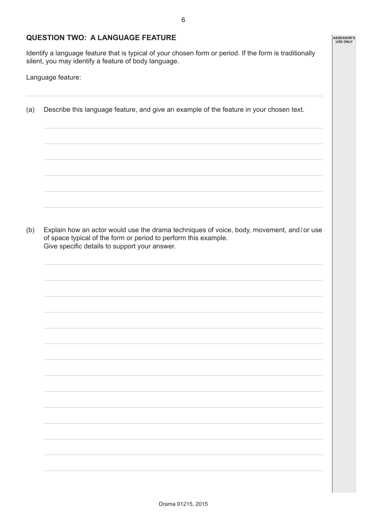#### **QUESTION TWO: A LANGUAGE FEATURE**

Identify a language feature that is typical of your chosen form or period. If the form is traditionally silent, you may identify a feature of body language.

Language feature:

(a) Describe this language feature, and give an example of the feature in your chosen text.

(b) Explain how an actor would use the drama techniques of voice, body, movement, and / or use of space typical of the form or period to perform this example. Give specific details to support your answer.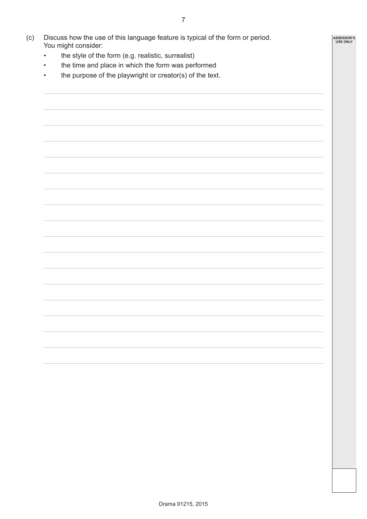- (c) Discuss how the use of this language feature is typical of the form or period. You might consider:
	- the style of the form (e.g. realistic, surrealist)
	- the time and place in which the form was performed
	- the purpose of the playwright or creator(s) of the text.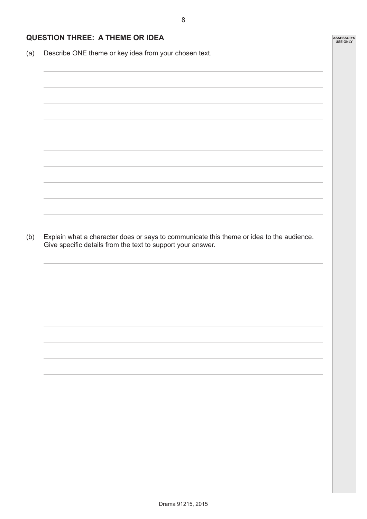### **QUESTION THREE: A THEME OR IDEA**

(a) Describe ONE theme or key idea from your chosen text.

(b) Explain what a character does or says to communicate this theme or idea to the audience. Give specific details from the text to support your answer.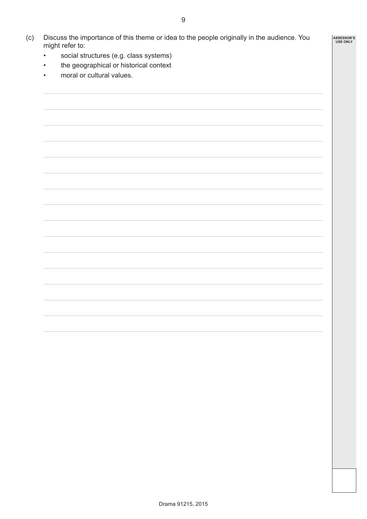9

- (c) Discuss the importance of this theme or idea to the people originally in the audience. You might refer to:
	- social structures (e.g. class systems)
	- the geographical or historical context
	- moral or cultural values.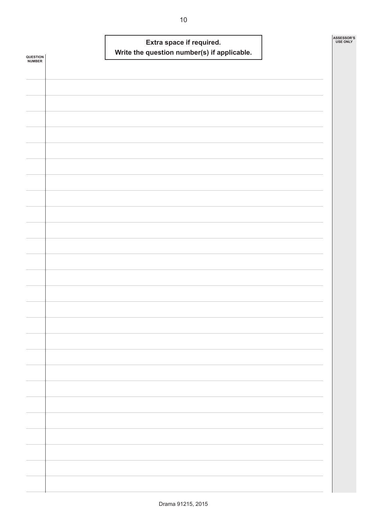| QUESTION<br><b>NUMBER</b> |  | Extra space if required. | Write the question number(s) if applicable. |  | ASSESSOR'S<br><b>USE ONLY</b> |
|---------------------------|--|--------------------------|---------------------------------------------|--|-------------------------------|
|                           |  |                          |                                             |  |                               |
|                           |  |                          |                                             |  |                               |
|                           |  |                          |                                             |  |                               |
|                           |  |                          |                                             |  |                               |
|                           |  |                          |                                             |  |                               |
|                           |  |                          |                                             |  |                               |
|                           |  |                          |                                             |  |                               |
|                           |  |                          |                                             |  |                               |
|                           |  |                          |                                             |  |                               |
|                           |  |                          |                                             |  |                               |
|                           |  |                          |                                             |  |                               |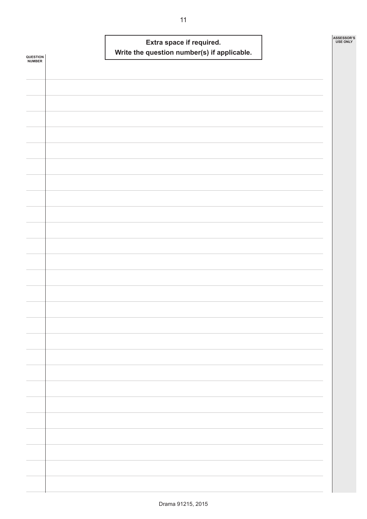| <b>USE ONLY</b> |
|-----------------|
|                 |
|                 |
|                 |
|                 |
|                 |
|                 |
|                 |
|                 |
|                 |
|                 |
|                 |
|                 |
|                 |
|                 |
|                 |